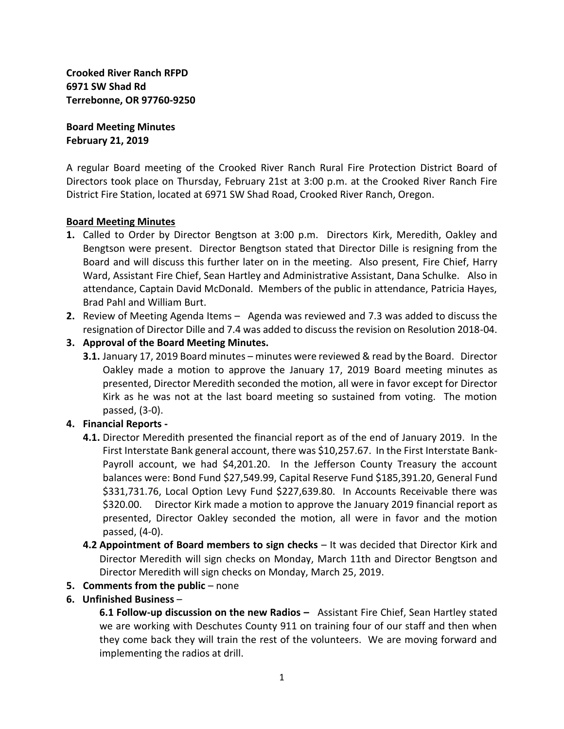**Crooked River Ranch RFPD 6971 SW Shad Rd Terrebonne, OR 97760-9250**

**Board Meeting Minutes February 21, 2019**

A regular Board meeting of the Crooked River Ranch Rural Fire Protection District Board of Directors took place on Thursday, February 21st at 3:00 p.m. at the Crooked River Ranch Fire District Fire Station, located at 6971 SW Shad Road, Crooked River Ranch, Oregon.

## **Board Meeting Minutes**

- **1.** Called to Order by Director Bengtson at 3:00 p.m. Directors Kirk, Meredith, Oakley and Bengtson were present. Director Bengtson stated that Director Dille is resigning from the Board and will discuss this further later on in the meeting. Also present, Fire Chief, Harry Ward, Assistant Fire Chief, Sean Hartley and Administrative Assistant, Dana Schulke. Also in attendance, Captain David McDonald. Members of the public in attendance, Patricia Hayes, Brad Pahl and William Burt.
- **2.** Review of Meeting Agenda Items Agenda was reviewed and 7.3 was added to discuss the resignation of Director Dille and 7.4 was added to discuss the revision on Resolution 2018-04.
- **3. Approval of the Board Meeting Minutes.**
	- **3.1.** January 17, 2019 Board minutes minutes were reviewed & read by the Board. Director Oakley made a motion to approve the January 17, 2019 Board meeting minutes as presented, Director Meredith seconded the motion, all were in favor except for Director Kirk as he was not at the last board meeting so sustained from voting. The motion passed, (3-0).

## **4. Financial Reports -**

- **4.1.** Director Meredith presented the financial report as of the end of January 2019. In the First Interstate Bank general account, there was \$10,257.67. In the First Interstate Bank-Payroll account, we had \$4,201.20. In the Jefferson County Treasury the account balances were: Bond Fund \$27,549.99, Capital Reserve Fund \$185,391.20, General Fund \$331,731.76, Local Option Levy Fund \$227,639.80. In Accounts Receivable there was \$320.00. Director Kirk made a motion to approve the January 2019 financial report as presented, Director Oakley seconded the motion, all were in favor and the motion passed, (4-0).
- **4.2 Appointment of Board members to sign checks** It was decided that Director Kirk and Director Meredith will sign checks on Monday, March 11th and Director Bengtson and Director Meredith will sign checks on Monday, March 25, 2019.
- **5. Comments from the public** none
- **6. Unfinished Business** –

**6.1 Follow-up discussion on the new Radios –** Assistant Fire Chief, Sean Hartley stated we are working with Deschutes County 911 on training four of our staff and then when they come back they will train the rest of the volunteers. We are moving forward and implementing the radios at drill.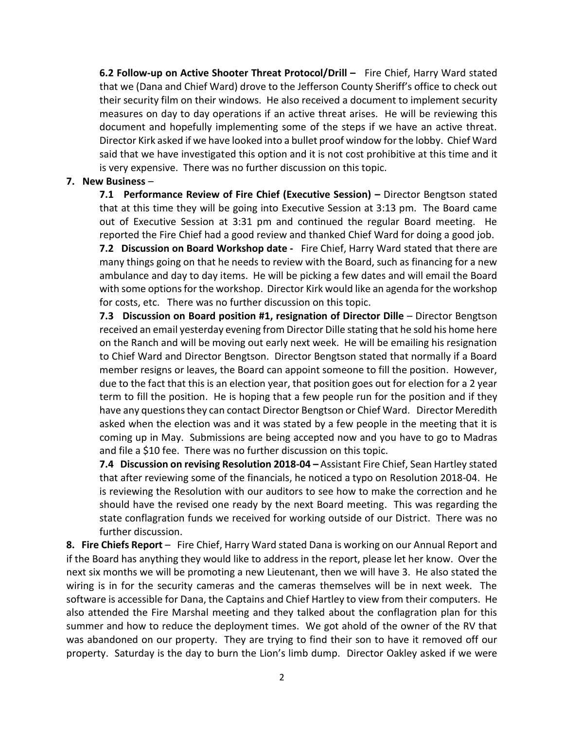**6.2 Follow-up on Active Shooter Threat Protocol/Drill –** Fire Chief, Harry Ward stated that we (Dana and Chief Ward) drove to the Jefferson County Sheriff's office to check out their security film on their windows. He also received a document to implement security measures on day to day operations if an active threat arises. He will be reviewing this document and hopefully implementing some of the steps if we have an active threat. Director Kirk asked if we have looked into a bullet proof window for the lobby. Chief Ward said that we have investigated this option and it is not cost prohibitive at this time and it is very expensive. There was no further discussion on this topic.

## **7. New Business** –

**7.1 Performance Review of Fire Chief (Executive Session) –** Director Bengtson stated that at this time they will be going into Executive Session at 3:13 pm. The Board came out of Executive Session at 3:31 pm and continued the regular Board meeting. He reported the Fire Chief had a good review and thanked Chief Ward for doing a good job.

**7.2 Discussion on Board Workshop date -** Fire Chief, Harry Ward stated that there are many things going on that he needs to review with the Board, such as financing for a new ambulance and day to day items. He will be picking a few dates and will email the Board with some options for the workshop. Director Kirk would like an agenda for the workshop for costs, etc. There was no further discussion on this topic.

**7.3 Discussion on Board position #1, resignation of Director Dille** – Director Bengtson received an email yesterday evening from Director Dille stating that he sold his home here on the Ranch and will be moving out early next week. He will be emailing his resignation to Chief Ward and Director Bengtson. Director Bengtson stated that normally if a Board member resigns or leaves, the Board can appoint someone to fill the position. However, due to the fact that this is an election year, that position goes out for election for a 2 year term to fill the position. He is hoping that a few people run for the position and if they have any questions they can contact Director Bengtson or Chief Ward. Director Meredith asked when the election was and it was stated by a few people in the meeting that it is coming up in May. Submissions are being accepted now and you have to go to Madras and file a \$10 fee. There was no further discussion on this topic.

**7.4 Discussion on revising Resolution 2018-04 –** Assistant Fire Chief, Sean Hartley stated that after reviewing some of the financials, he noticed a typo on Resolution 2018-04. He is reviewing the Resolution with our auditors to see how to make the correction and he should have the revised one ready by the next Board meeting. This was regarding the state conflagration funds we received for working outside of our District. There was no further discussion.

**8. Fire Chiefs Report** – Fire Chief, Harry Ward stated Dana is working on our Annual Report and if the Board has anything they would like to address in the report, please let her know. Over the next six months we will be promoting a new Lieutenant, then we will have 3. He also stated the wiring is in for the security cameras and the cameras themselves will be in next week. The software is accessible for Dana, the Captains and Chief Hartley to view from their computers. He also attended the Fire Marshal meeting and they talked about the conflagration plan for this summer and how to reduce the deployment times. We got ahold of the owner of the RV that was abandoned on our property. They are trying to find their son to have it removed off our property. Saturday is the day to burn the Lion's limb dump. Director Oakley asked if we were